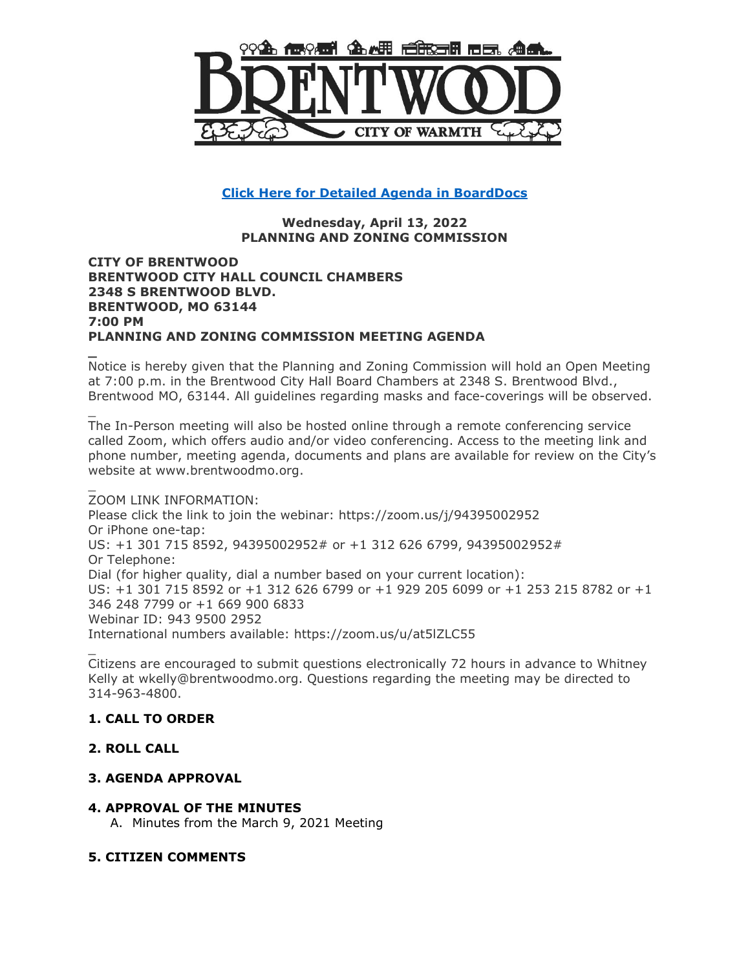

# **[Click Here for Detailed Agenda in BoardDocs](http://go.boarddocs.com/mo/cob/Board.nsf/goto?open&id=CAVMQQ5BED78)**

#### **Wednesday, April 13, 2022 PLANNING AND ZONING COMMISSION**

#### **CITY OF BRENTWOOD BRENTWOOD CITY HALL COUNCIL CHAMBERS 2348 S BRENTWOOD BLVD. BRENTWOOD, MO 63144 7:00 PM PLANNING AND ZONING COMMISSION MEETING AGENDA**

Notice is hereby given that the Planning and Zoning Commission will hold an Open Meeting at 7:00 p.m. in the Brentwood City Hall Board Chambers at 2348 S. Brentwood Blvd., Brentwood MO, 63144. All guidelines regarding masks and face-coverings will be observed.

The In-Person meeting will also be hosted online through a remote conferencing service called Zoom, which offers audio and/or video conferencing. Access to the meeting link and phone number, meeting agenda, documents and plans are available for review on the City's website at www.brentwoodmo.org.

ZOOM LINK INFORMATION: Please click the link to join the webinar: https://zoom.us/j/94395002952 Or iPhone one-tap: US: +1 301 715 8592, 94395002952# or +1 312 626 6799, 94395002952# Or Telephone: Dial (for higher quality, dial a number based on your current location): US: +1 301 715 8592 or +1 312 626 6799 or +1 929 205 6099 or +1 253 215 8782 or +1 346 248 7799 or +1 669 900 6833 Webinar ID: 943 9500 2952 International numbers available: https://zoom.us/u/at5lZLC55

Citizens are encouraged to submit questions electronically 72 hours in advance to Whitney Kelly at wkelly@brentwoodmo.org. Questions regarding the meeting may be directed to 314-963-4800.

#### **1. CALL TO ORDER**

#### **2. ROLL CALL**

**\_**

\_

\_

\_

## **3. AGENDA APPROVAL**

#### **4. APPROVAL OF THE MINUTES**

A. Minutes from the March 9, 2021 Meeting

#### **5. CITIZEN COMMENTS**